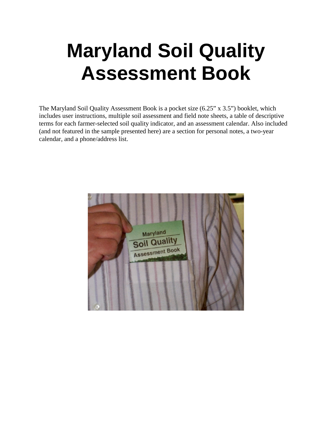# **Maryland Soil Quality Assessment Book**

The Maryland Soil Quality Assessment Book is a pocket size (6.25" x 3.5") booklet, which includes user instructions, multiple soil assessment and field note sheets, a table of descriptive terms for each farmer-selected soil quality indicator, and an assessment calendar. Also included (and not featured in the sample presented here) are a section for personal notes, a two-year calendar, and a phone/address list.

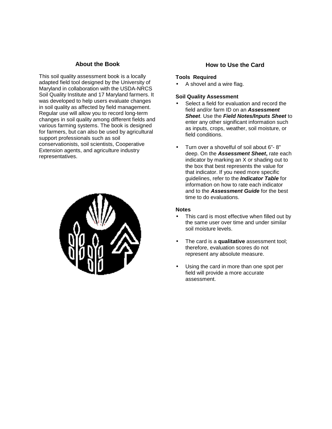# **About the Book**

This soil quality assessment book is a locally adapted field tool designed by the University of Maryland in collaboration with the USDA-NRCS Soil Quality Institute and 17 Maryland farmers. It was developed to help users evaluate changes in soil quality as affected by field management. Regular use will allow you to record long-term changes in soil quality among different fields and various farming systems. The book is designed for farmers, but can also be used by agricultural support professionals such as soil conservationists, soil scientists, Cooperative Extension agents, and agriculture industry representatives.



## **How to Use the Card**

#### **Tools Required**

• A shovel and a wire flag.

#### **Soil Quality Assessment**

- Select a field for evaluation and record the field and/or farm ID on an *Assessment Sheet*. Use the *Field Notes/Inputs Sheet* to enter any other significant information such as inputs, crops, weather, soil moisture, or field conditions.
- Turn over a shovelful of soil about 6"- 8" deep. On the *Assessment Sheet***,** rate each indicator by marking an X or shading out to the box that best represents the value for that indicator. If you need more specific guidelines, refer to the *Indicator Table* for information on how to rate each indicator and to the *Assessment Guide* for the best time to do evaluations.

## **Notes**

- This card is most effective when filled out by the same user over time and under similar soil moisture levels.
- The card is a **qualitative** assessment tool; therefore, evaluation scores do not represent any absolute measure.
- Using the card in more than one spot per field will provide a more accurate assessment.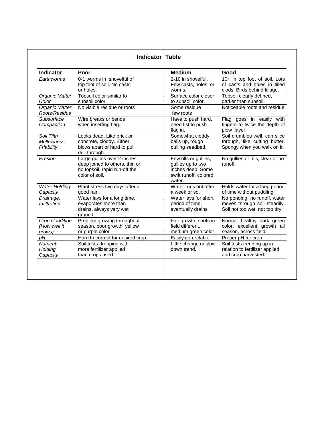| <b>Indicator</b>                                | Poor                                                                                                             | <b>Medium</b>                                                                                      | Good                                                                                           |
|-------------------------------------------------|------------------------------------------------------------------------------------------------------------------|----------------------------------------------------------------------------------------------------|------------------------------------------------------------------------------------------------|
| Earthworms                                      | 0-1 worms in shovelful of<br>top foot of soil. No casts<br>or holes.                                             | 2-10 in shovelful.<br>Few casts, holes, or<br>worms.                                               | 10+ in top foot of soil. Lots<br>of casts and holes in tilled<br>clods. Birds behind tillage.  |
| Organic Matter<br>Color                         | Topsoil color similar to<br>subsoil color.                                                                       | Surface color closer<br>to subsoil color.                                                          | Topsoil clearly defined,<br>darker than subsoil.                                               |
| Organic Matter<br>Roots/Residue                 | No visible residue or roots                                                                                      | Some residue<br>few roots                                                                          | Noticeable roots and residue                                                                   |
| Subsurface<br>Compaction                        | Wire breaks or bends<br>when inserting flag.                                                                     | Have to push hard,<br>need fist to push<br>flag in.                                                | Flag goes in easily with<br>fingers to twice the depth of<br>plow layer.                       |
| Soil Tilth<br><b>Mellowness</b><br>Friability   | Looks dead. Like brick or<br>concrete, cloddy. Either<br>blows apart or hard to pull<br>drill through.           | Somewhat cloddy,<br>balls up, rough<br>pulling seedbed.                                            | Soil crumbles well, can slice<br>through, like cutting butter.<br>Spongy when you walk on it.  |
| Erosion                                         | Large gullies over 2 inches<br>deep joined to others, thin or<br>no topsoil, rapid run-off the<br>color of soil. | Few rills or gullies,<br>gullies up to two<br>inches deep. Some<br>swift runoff, colored<br>water. | No gullies or rills, clear or no<br>runoff.                                                    |
| <b>Water Holding</b><br>Capacity                | Plant stress two days after a<br>good rain.                                                                      | Water runs out after<br>a week or so.                                                              | Holds water for a long period<br>of time without puddling.                                     |
| Drainage,<br><i><b>Infiltration</b></i>         | Water lays for a long time,<br>evaporates more than<br>drains, always very wet<br>ground.                        | Water lays for short<br>period of time,<br>eventually drains.                                      | No ponding, no runoff, water<br>moves through soil steadily.<br>Soil not too wet, not too dry. |
| <b>Crop Condition</b><br>(How well it<br>grows) | Problem growing throughout<br>season, poor growth, yellow<br>or purple color.                                    | Fair growth, spots in<br>field different.<br>medium green color.                                   | Normal healthy dark green<br>color, excellent growth all<br>season, across field.              |
| pH                                              | Hard to correct for desired crop.                                                                                | Easily correctable.                                                                                | Proper pH for crop.                                                                            |
| <b>Nutrient</b><br>Holding<br>Capacity          | Soil tests dropping with<br>more fertilizer applied<br>than crops used.                                          | Little change or slow<br>down trend.                                                               | Soil tests trending up in<br>relation to fertilizer applied<br>and crop harvested.             |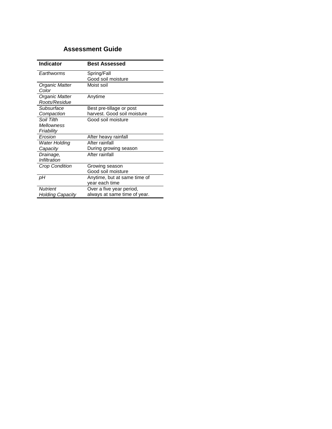# **Assessment Guide**

| <b>Indicator</b>      | <b>Best Assessed</b>         |
|-----------------------|------------------------------|
| Farthworms            | Spring/Fall                  |
|                       | Good soil moisture           |
| Organic Matter        | Moist soil                   |
| Color                 |                              |
| Organic Matter        | Anytime                      |
| Roots/Residue         |                              |
| Subsurface            | Best pre-tillage or post     |
| Compaction            | harvest. Good soil moisture  |
| Soil Tilth            | Good soil moisture           |
| <b>Mellowness</b>     |                              |
| Friability            |                              |
| Erosion               | After heavy rainfall         |
| <b>Water Holding</b>  | After rainfall               |
| Capacity              | During growing season        |
| Drainage,             | After rainfall               |
| Infiltration          |                              |
| <b>Crop Condition</b> | Growing season               |
|                       | Good soil moisture           |
| рH                    | Anytime, but at same time of |
|                       | year each time               |
| <b>Nutrient</b>       | Over a five year period,     |
| Holding Capacity      | always at same time of year. |